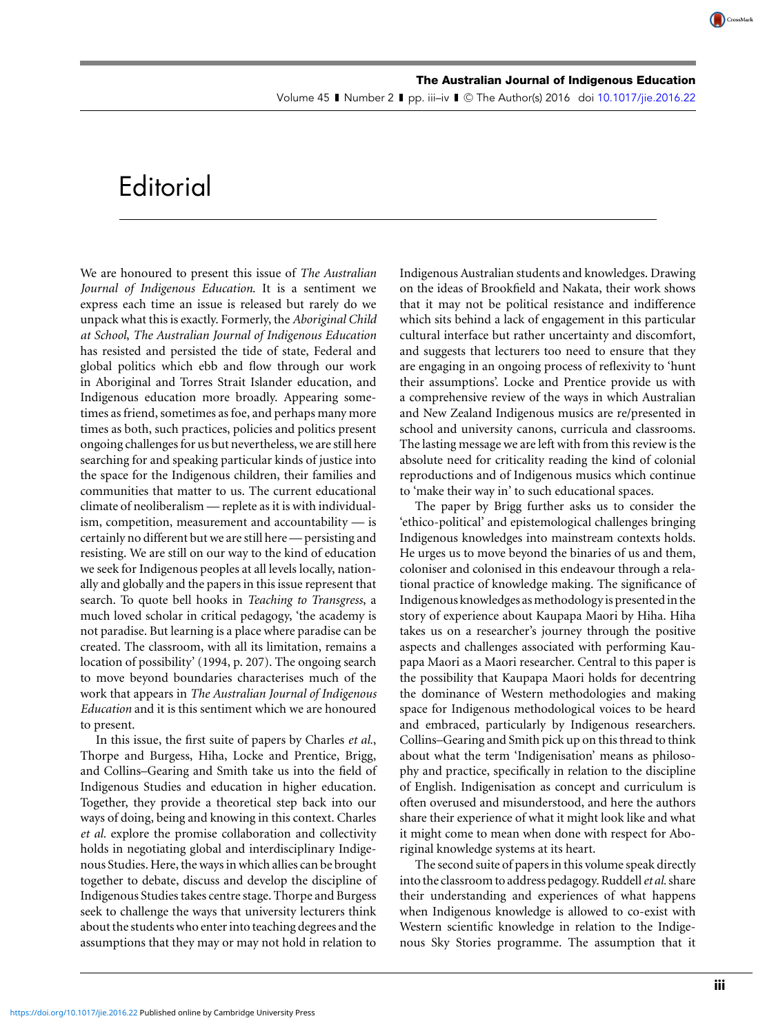Volume 45 ∎ Number 2 ∎ pp. iii–iv ∎ © The Author(s) 2016 doi [10.1017/jie.2016.22](https://doi.org/10.1017/jie.2016.22)

## **Editorial**

We are honoured to present this issue of *The Australian Journal of Indigenous Education*. It is a sentiment we express each time an issue is released but rarely do we unpack what this is exactly. Formerly, the *Aboriginal Child at School*, *The Australian Journal of Indigenous Education* has resisted and persisted the tide of state, Federal and global politics which ebb and flow through our work in Aboriginal and Torres Strait Islander education, and Indigenous education more broadly. Appearing sometimes as friend, sometimes as foe, and perhaps many more times as both, such practices, policies and politics present ongoing challenges for us but nevertheless, we are still here searching for and speaking particular kinds of justice into the space for the Indigenous children, their families and communities that matter to us. The current educational climate of neoliberalism — replete as it is with individualism, competition, measurement and accountability — is certainly no different but we are still here— persisting and resisting. We are still on our way to the kind of education we seek for Indigenous peoples at all levels locally, nationally and globally and the papers in this issue represent that search. To quote bell hooks in *Teaching to Transgress*, a much loved scholar in critical pedagogy, 'the academy is not paradise. But learning is a place where paradise can be created. The classroom, with all its limitation, remains a location of possibility' (1994, p. 207). The ongoing search to move beyond boundaries characterises much of the work that appears in *The Australian Journal of Indigenous Education* and it is this sentiment which we are honoured to present.

In this issue, the first suite of papers by Charles *et al.*, Thorpe and Burgess, Hiha, Locke and Prentice, Brigg, and Collins–Gearing and Smith take us into the field of Indigenous Studies and education in higher education. Together, they provide a theoretical step back into our ways of doing, being and knowing in this context. Charles *et al.* explore the promise collaboration and collectivity holds in negotiating global and interdisciplinary Indigenous Studies. Here, the ways in which allies can be brought together to debate, discuss and develop the discipline of Indigenous Studies takes centre stage. Thorpe and Burgess seek to challenge the ways that university lecturers think about the students who enter into teaching degrees and the assumptions that they may or may not hold in relation to

Indigenous Australian students and knowledges. Drawing on the ideas of Brookfield and Nakata, their work shows that it may not be political resistance and indifference which sits behind a lack of engagement in this particular cultural interface but rather uncertainty and discomfort, and suggests that lecturers too need to ensure that they are engaging in an ongoing process of reflexivity to 'hunt their assumptions'. Locke and Prentice provide us with a comprehensive review of the ways in which Australian and New Zealand Indigenous musics are re/presented in school and university canons, curricula and classrooms. The lasting message we are left with from this review is the absolute need for criticality reading the kind of colonial reproductions and of Indigenous musics which continue to 'make their way in' to such educational spaces.

The paper by Brigg further asks us to consider the 'ethico-political' and epistemological challenges bringing Indigenous knowledges into mainstream contexts holds. He urges us to move beyond the binaries of us and them, coloniser and colonised in this endeavour through a relational practice of knowledge making. The significance of Indigenous knowledges as methodology is presented in the story of experience about Kaupapa Maori by Hiha. Hiha takes us on a researcher's journey through the positive aspects and challenges associated with performing Kaupapa Maori as a Maori researcher. Central to this paper is the possibility that Kaupapa Maori holds for decentring the dominance of Western methodologies and making space for Indigenous methodological voices to be heard and embraced, particularly by Indigenous researchers. Collins–Gearing and Smith pick up on this thread to think about what the term 'Indigenisation' means as philosophy and practice, specifically in relation to the discipline of English. Indigenisation as concept and curriculum is often overused and misunderstood, and here the authors share their experience of what it might look like and what it might come to mean when done with respect for Aboriginal knowledge systems at its heart.

The second suite of papers in this volume speak directly into the classroom to address pedagogy. Ruddell*et al.*share their understanding and experiences of what happens when Indigenous knowledge is allowed to co-exist with Western scientific knowledge in relation to the Indigenous Sky Stories programme. The assumption that it